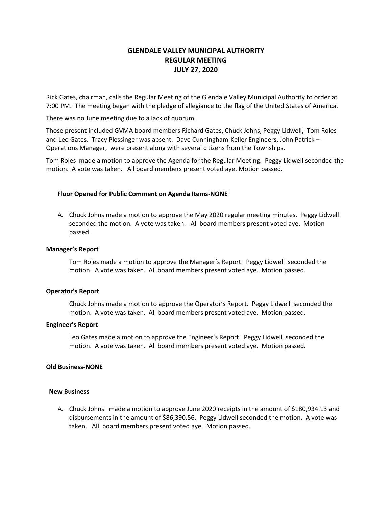# **GLENDALE VALLEY MUNICIPAL AUTHORITY REGULAR MEETING JULY 27, 2020**

Rick Gates, chairman, calls the Regular Meeting of the Glendale Valley Municipal Authority to order at 7:00 PM. The meeting began with the pledge of allegiance to the flag of the United States of America.

There was no June meeting due to a lack of quorum.

Those present included GVMA board members Richard Gates, Chuck Johns, Peggy Lidwell, Tom Roles and Leo Gates. Tracy Plessinger was absent. Dave Cunningham-Keller Engineers, John Patrick – Operations Manager, were present along with several citizens from the Townships.

Tom Roles made a motion to approve the Agenda for the Regular Meeting. Peggy Lidwell seconded the motion. A vote was taken. All board members present voted aye. Motion passed.

### **Floor Opened for Public Comment on Agenda Items-NONE**

A. Chuck Johns made a motion to approve the May 2020 regular meeting minutes. Peggy Lidwell seconded the motion. A vote was taken. All board members present voted aye. Motion passed.

### **Manager's Report**

Tom Roles made a motion to approve the Manager's Report. Peggy Lidwell seconded the motion. A vote was taken. All board members present voted aye. Motion passed.

### **Operator's Report**

Chuck Johns made a motion to approve the Operator's Report. Peggy Lidwell seconded the motion. A vote was taken. All board members present voted aye. Motion passed.

### **Engineer's Report**

Leo Gates made a motion to approve the Engineer's Report. Peggy Lidwell seconded the motion. A vote was taken. All board members present voted aye. Motion passed.

### **Old Business-NONE**

### **New Business**

A. Chuck Johns made a motion to approve June 2020 receipts in the amount of \$180,934.13 and disbursements in the amount of \$86,390.56. Peggy Lidwell seconded the motion. A vote was taken. All board members present voted aye. Motion passed.